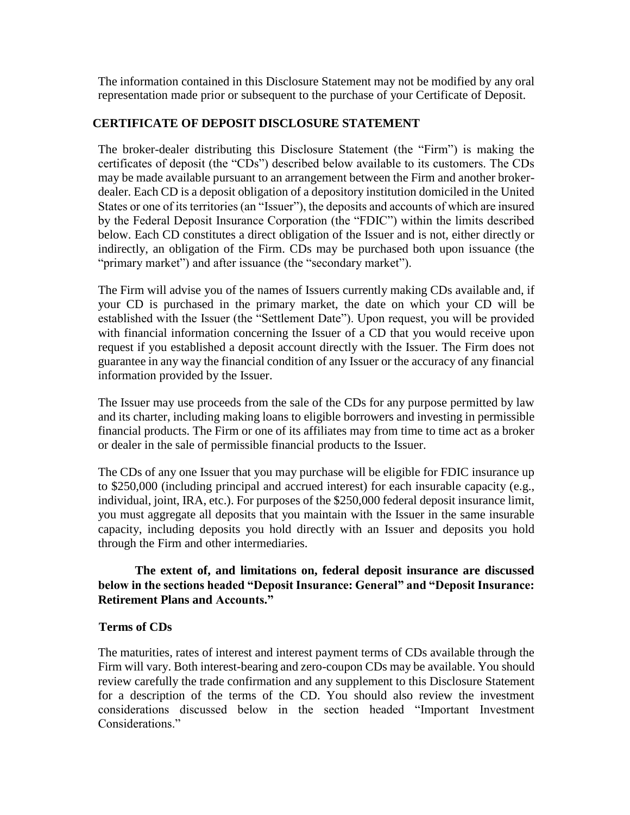The information contained in this Disclosure Statement may not be modified by any oral representation made prior or subsequent to the purchase of your Certificate of Deposit.

## **CERTIFICATE OF DEPOSIT DISCLOSURE STATEMENT**

The broker-dealer distributing this Disclosure Statement (the "Firm") is making the certificates of deposit (the "CDs") described below available to its customers. The CDs may be made available pursuant to an arrangement between the Firm and another brokerdealer. Each CD is a deposit obligation of a depository institution domiciled in the United States or one of its territories (an "Issuer"), the deposits and accounts of which are insured by the Federal Deposit Insurance Corporation (the "FDIC") within the limits described below. Each CD constitutes a direct obligation of the Issuer and is not, either directly or indirectly, an obligation of the Firm. CDs may be purchased both upon issuance (the "primary market") and after issuance (the "secondary market").

The Firm will advise you of the names of Issuers currently making CDs available and, if your CD is purchased in the primary market, the date on which your CD will be established with the Issuer (the "Settlement Date"). Upon request, you will be provided with financial information concerning the Issuer of a CD that you would receive upon request if you established a deposit account directly with the Issuer. The Firm does not guarantee in any way the financial condition of any Issuer or the accuracy of any financial information provided by the Issuer.

The Issuer may use proceeds from the sale of the CDs for any purpose permitted by law and its charter, including making loans to eligible borrowers and investing in permissible financial products. The Firm or one of its affiliates may from time to time act as a broker or dealer in the sale of permissible financial products to the Issuer.

The CDs of any one Issuer that you may purchase will be eligible for FDIC insurance up to \$250,000 (including principal and accrued interest) for each insurable capacity (e.g., individual, joint, IRA, etc.). For purposes of the \$250,000 federal deposit insurance limit, you must aggregate all deposits that you maintain with the Issuer in the same insurable capacity, including deposits you hold directly with an Issuer and deposits you hold through the Firm and other intermediaries.

# **The extent of, and limitations on, federal deposit insurance are discussed below in the sections headed "Deposit Insurance: General" and "Deposit Insurance: Retirement Plans and Accounts."**

# **Terms of CDs**

The maturities, rates of interest and interest payment terms of CDs available through the Firm will vary. Both interest-bearing and zero-coupon CDs may be available. You should review carefully the trade confirmation and any supplement to this Disclosure Statement for a description of the terms of the CD. You should also review the investment considerations discussed below in the section headed "Important Investment Considerations."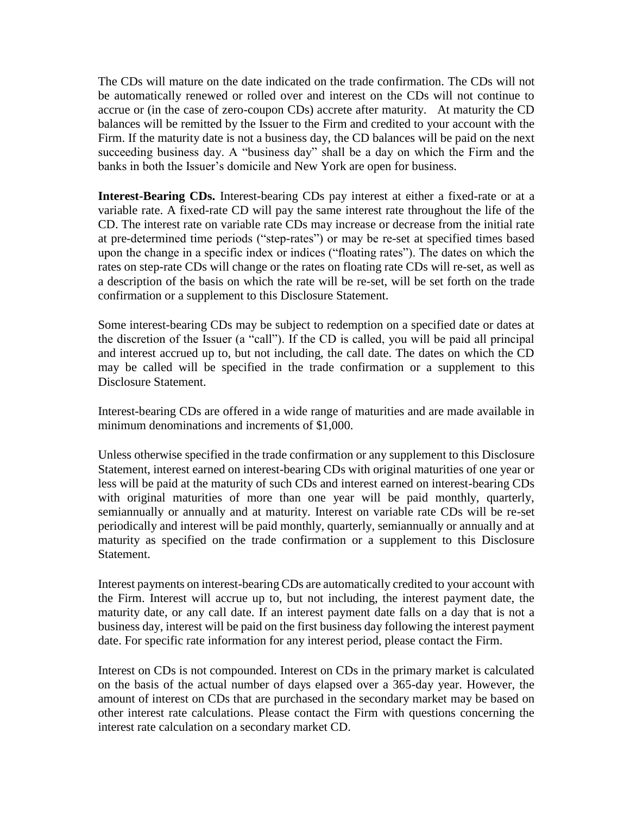The CDs will mature on the date indicated on the trade confirmation. The CDs will not be automatically renewed or rolled over and interest on the CDs will not continue to accrue or (in the case of zero-coupon CDs) accrete after maturity. At maturity the CD balances will be remitted by the Issuer to the Firm and credited to your account with the Firm. If the maturity date is not a business day, the CD balances will be paid on the next succeeding business day. A "business day" shall be a day on which the Firm and the banks in both the Issuer's domicile and New York are open for business.

**Interest-Bearing CDs.** Interest-bearing CDs pay interest at either a fixed-rate or at a variable rate. A fixed-rate CD will pay the same interest rate throughout the life of the CD. The interest rate on variable rate CDs may increase or decrease from the initial rate at pre-determined time periods ("step-rates") or may be re-set at specified times based upon the change in a specific index or indices ("floating rates"). The dates on which the rates on step-rate CDs will change or the rates on floating rate CDs will re-set, as well as a description of the basis on which the rate will be re-set, will be set forth on the trade confirmation or a supplement to this Disclosure Statement.

Some interest-bearing CDs may be subject to redemption on a specified date or dates at the discretion of the Issuer (a "call"). If the CD is called, you will be paid all principal and interest accrued up to, but not including, the call date. The dates on which the CD may be called will be specified in the trade confirmation or a supplement to this Disclosure Statement.

Interest-bearing CDs are offered in a wide range of maturities and are made available in minimum denominations and increments of \$1,000.

Unless otherwise specified in the trade confirmation or any supplement to this Disclosure Statement, interest earned on interest-bearing CDs with original maturities of one year or less will be paid at the maturity of such CDs and interest earned on interest-bearing CDs with original maturities of more than one year will be paid monthly, quarterly, semiannually or annually and at maturity. Interest on variable rate CDs will be re-set periodically and interest will be paid monthly, quarterly, semiannually or annually and at maturity as specified on the trade confirmation or a supplement to this Disclosure Statement.

Interest payments on interest-bearing CDs are automatically credited to your account with the Firm. Interest will accrue up to, but not including, the interest payment date, the maturity date, or any call date. If an interest payment date falls on a day that is not a business day, interest will be paid on the first business day following the interest payment date. For specific rate information for any interest period, please contact the Firm.

Interest on CDs is not compounded. Interest on CDs in the primary market is calculated on the basis of the actual number of days elapsed over a 365-day year. However, the amount of interest on CDs that are purchased in the secondary market may be based on other interest rate calculations. Please contact the Firm with questions concerning the interest rate calculation on a secondary market CD.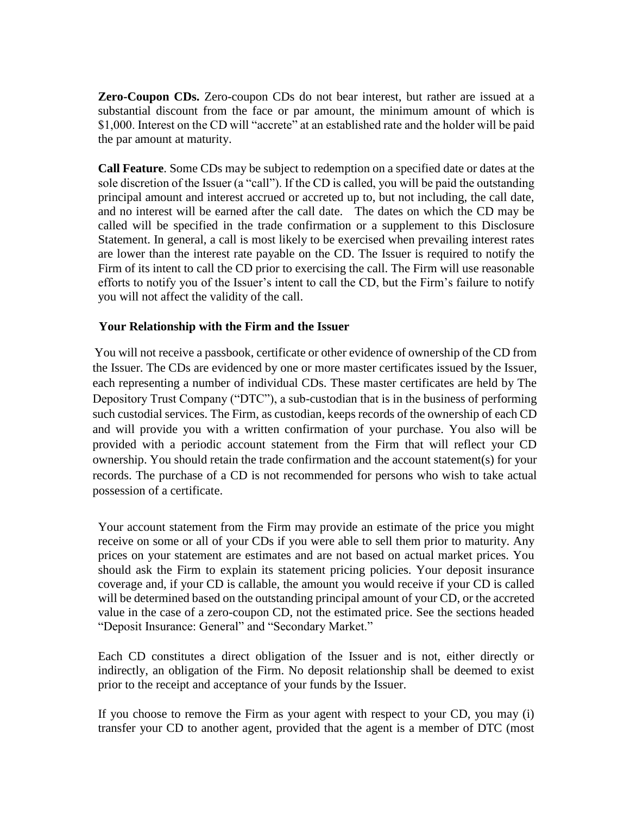**Zero-Coupon CDs.** Zero-coupon CDs do not bear interest, but rather are issued at a substantial discount from the face or par amount, the minimum amount of which is \$1,000. Interest on the CD will "accrete" at an established rate and the holder will be paid the par amount at maturity.

**Call Feature**. Some CDs may be subject to redemption on a specified date or dates at the sole discretion of the Issuer (a "call"). If the CD is called, you will be paid the outstanding principal amount and interest accrued or accreted up to, but not including, the call date, and no interest will be earned after the call date. The dates on which the CD may be called will be specified in the trade confirmation or a supplement to this Disclosure Statement. In general, a call is most likely to be exercised when prevailing interest rates are lower than the interest rate payable on the CD. The Issuer is required to notify the Firm of its intent to call the CD prior to exercising the call. The Firm will use reasonable efforts to notify you of the Issuer's intent to call the CD, but the Firm's failure to notify you will not affect the validity of the call.

### **Your Relationship with the Firm and the Issuer**

You will not receive a passbook, certificate or other evidence of ownership of the CD from the Issuer. The CDs are evidenced by one or more master certificates issued by the Issuer, each representing a number of individual CDs. These master certificates are held by The Depository Trust Company ("DTC"), a sub-custodian that is in the business of performing such custodial services. The Firm, as custodian, keeps records of the ownership of each CD and will provide you with a written confirmation of your purchase. You also will be provided with a periodic account statement from the Firm that will reflect your CD ownership. You should retain the trade confirmation and the account statement(s) for your records. The purchase of a CD is not recommended for persons who wish to take actual possession of a certificate.

Your account statement from the Firm may provide an estimate of the price you might receive on some or all of your CDs if you were able to sell them prior to maturity. Any prices on your statement are estimates and are not based on actual market prices. You should ask the Firm to explain its statement pricing policies. Your deposit insurance coverage and, if your CD is callable, the amount you would receive if your CD is called will be determined based on the outstanding principal amount of your CD, or the accreted value in the case of a zero-coupon CD, not the estimated price. See the sections headed "Deposit Insurance: General" and "Secondary Market."

Each CD constitutes a direct obligation of the Issuer and is not, either directly or indirectly, an obligation of the Firm. No deposit relationship shall be deemed to exist prior to the receipt and acceptance of your funds by the Issuer.

If you choose to remove the Firm as your agent with respect to your CD, you may (i) transfer your CD to another agent, provided that the agent is a member of DTC (most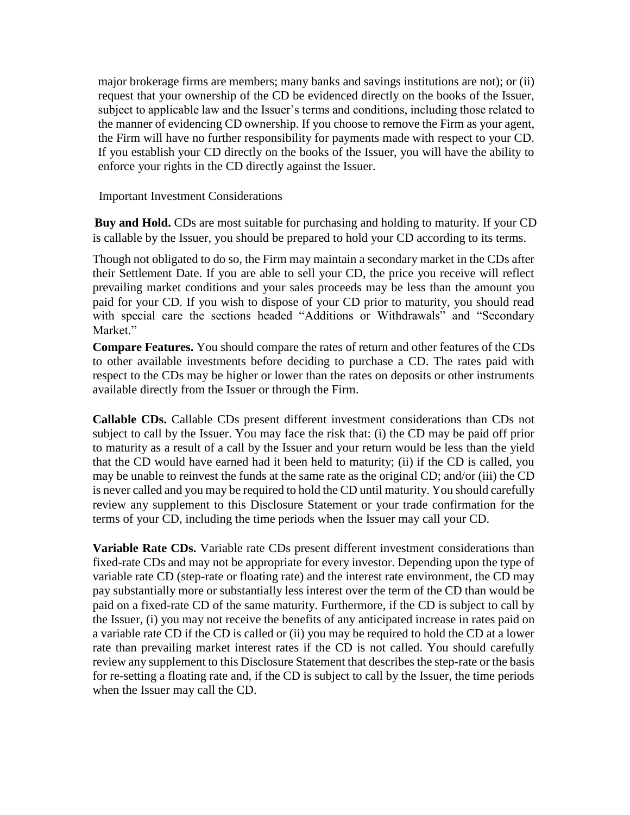major brokerage firms are members; many banks and savings institutions are not); or (ii) request that your ownership of the CD be evidenced directly on the books of the Issuer, subject to applicable law and the Issuer's terms and conditions, including those related to the manner of evidencing CD ownership. If you choose to remove the Firm as your agent, the Firm will have no further responsibility for payments made with respect to your CD. If you establish your CD directly on the books of the Issuer, you will have the ability to enforce your rights in the CD directly against the Issuer.

Important Investment Considerations

**Buy and Hold.** CDs are most suitable for purchasing and holding to maturity. If your CD is callable by the Issuer, you should be prepared to hold your CD according to its terms.

Though not obligated to do so, the Firm may maintain a secondary market in the CDs after their Settlement Date. If you are able to sell your CD, the price you receive will reflect prevailing market conditions and your sales proceeds may be less than the amount you paid for your CD. If you wish to dispose of your CD prior to maturity, you should read with special care the sections headed "Additions or Withdrawals" and "Secondary Market."

**Compare Features.** You should compare the rates of return and other features of the CDs to other available investments before deciding to purchase a CD. The rates paid with respect to the CDs may be higher or lower than the rates on deposits or other instruments available directly from the Issuer or through the Firm.

**Callable CDs.** Callable CDs present different investment considerations than CDs not subject to call by the Issuer. You may face the risk that: (i) the CD may be paid off prior to maturity as a result of a call by the Issuer and your return would be less than the yield that the CD would have earned had it been held to maturity; (ii) if the CD is called, you may be unable to reinvest the funds at the same rate as the original CD; and/or (iii) the CD is never called and you may be required to hold the CD until maturity. You should carefully review any supplement to this Disclosure Statement or your trade confirmation for the terms of your CD, including the time periods when the Issuer may call your CD.

**Variable Rate CDs.** Variable rate CDs present different investment considerations than fixed-rate CDs and may not be appropriate for every investor. Depending upon the type of variable rate CD (step-rate or floating rate) and the interest rate environment, the CD may pay substantially more or substantially less interest over the term of the CD than would be paid on a fixed-rate CD of the same maturity. Furthermore, if the CD is subject to call by the Issuer, (i) you may not receive the benefits of any anticipated increase in rates paid on a variable rate CD if the CD is called or (ii) you may be required to hold the CD at a lower rate than prevailing market interest rates if the CD is not called. You should carefully review any supplement to this Disclosure Statement that describes the step-rate or the basis for re-setting a floating rate and, if the CD is subject to call by the Issuer, the time periods when the Issuer may call the CD.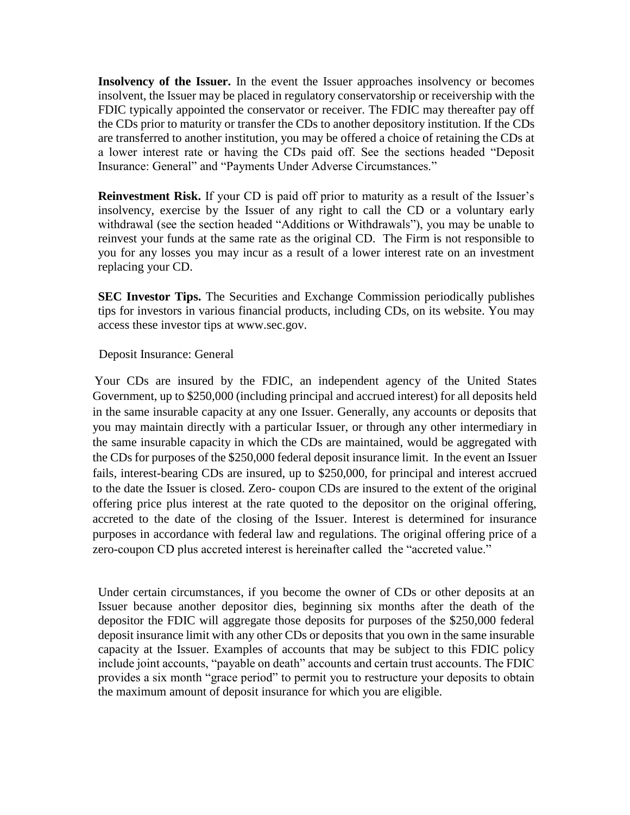**Insolvency of the Issuer.** In the event the Issuer approaches insolvency or becomes insolvent, the Issuer may be placed in regulatory conservatorship or receivership with the FDIC typically appointed the conservator or receiver. The FDIC may thereafter pay off the CDs prior to maturity or transfer the CDs to another depository institution. If the CDs are transferred to another institution, you may be offered a choice of retaining the CDs at a lower interest rate or having the CDs paid off. See the sections headed "Deposit Insurance: General" and "Payments Under Adverse Circumstances."

**Reinvestment Risk.** If your CD is paid off prior to maturity as a result of the Issuer's insolvency, exercise by the Issuer of any right to call the CD or a voluntary early withdrawal (see the section headed "Additions or Withdrawals"), you may be unable to reinvest your funds at the same rate as the original CD. The Firm is not responsible to you for any losses you may incur as a result of a lower interest rate on an investment replacing your CD.

**SEC Investor Tips.** The Securities and Exchange Commission periodically publishes tips for investors in various financial products, including CDs, on its website. You may access these investor tips at www.sec.gov.

#### Deposit Insurance: General

Your CDs are insured by the FDIC, an independent agency of the United States Government, up to \$250,000 (including principal and accrued interest) for all deposits held in the same insurable capacity at any one Issuer. Generally, any accounts or deposits that you may maintain directly with a particular Issuer, or through any other intermediary in the same insurable capacity in which the CDs are maintained, would be aggregated with the CDs for purposes of the \$250,000 federal deposit insurance limit. In the event an Issuer fails, interest-bearing CDs are insured, up to \$250,000, for principal and interest accrued to the date the Issuer is closed. Zero- coupon CDs are insured to the extent of the original offering price plus interest at the rate quoted to the depositor on the original offering, accreted to the date of the closing of the Issuer. Interest is determined for insurance purposes in accordance with federal law and regulations. The original offering price of a zero-coupon CD plus accreted interest is hereinafter called the "accreted value."

Under certain circumstances, if you become the owner of CDs or other deposits at an Issuer because another depositor dies, beginning six months after the death of the depositor the FDIC will aggregate those deposits for purposes of the \$250,000 federal deposit insurance limit with any other CDs or deposits that you own in the same insurable capacity at the Issuer. Examples of accounts that may be subject to this FDIC policy include joint accounts, "payable on death" accounts and certain trust accounts. The FDIC provides a six month "grace period" to permit you to restructure your deposits to obtain the maximum amount of deposit insurance for which you are eligible.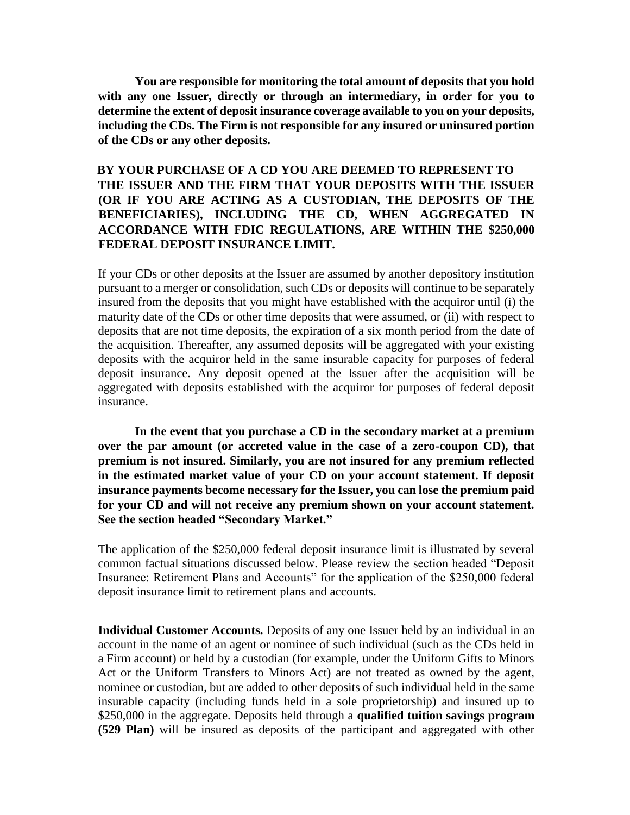**You are responsible for monitoring the total amount of deposits that you hold with any one Issuer, directly or through an intermediary, in order for you to determine the extent of deposit insurance coverage available to you on your deposits, including the CDs. The Firm is not responsible for any insured or uninsured portion of the CDs or any other deposits.**

# **BY YOUR PURCHASE OF A CD YOU ARE DEEMED TO REPRESENT TO THE ISSUER AND THE FIRM THAT YOUR DEPOSITS WITH THE ISSUER (OR IF YOU ARE ACTING AS A CUSTODIAN, THE DEPOSITS OF THE BENEFICIARIES), INCLUDING THE CD, WHEN AGGREGATED IN ACCORDANCE WITH FDIC REGULATIONS, ARE WITHIN THE \$250,000 FEDERAL DEPOSIT INSURANCE LIMIT.**

If your CDs or other deposits at the Issuer are assumed by another depository institution pursuant to a merger or consolidation, such CDs or deposits will continue to be separately insured from the deposits that you might have established with the acquiror until (i) the maturity date of the CDs or other time deposits that were assumed, or (ii) with respect to deposits that are not time deposits, the expiration of a six month period from the date of the acquisition. Thereafter, any assumed deposits will be aggregated with your existing deposits with the acquiror held in the same insurable capacity for purposes of federal deposit insurance. Any deposit opened at the Issuer after the acquisition will be aggregated with deposits established with the acquiror for purposes of federal deposit insurance.

**In the event that you purchase a CD in the secondary market at a premium over the par amount (or accreted value in the case of a zero-coupon CD), that premium is not insured. Similarly, you are not insured for any premium reflected in the estimated market value of your CD on your account statement. If deposit insurance payments become necessary for the Issuer, you can lose the premium paid for your CD and will not receive any premium shown on your account statement. See the section headed "Secondary Market."**

The application of the \$250,000 federal deposit insurance limit is illustrated by several common factual situations discussed below. Please review the section headed "Deposit Insurance: Retirement Plans and Accounts" for the application of the \$250,000 federal deposit insurance limit to retirement plans and accounts.

**Individual Customer Accounts.** Deposits of any one Issuer held by an individual in an account in the name of an agent or nominee of such individual (such as the CDs held in a Firm account) or held by a custodian (for example, under the Uniform Gifts to Minors Act or the Uniform Transfers to Minors Act) are not treated as owned by the agent, nominee or custodian, but are added to other deposits of such individual held in the same insurable capacity (including funds held in a sole proprietorship) and insured up to \$250,000 in the aggregate. Deposits held through a **qualified tuition savings program (529 Plan)** will be insured as deposits of the participant and aggregated with other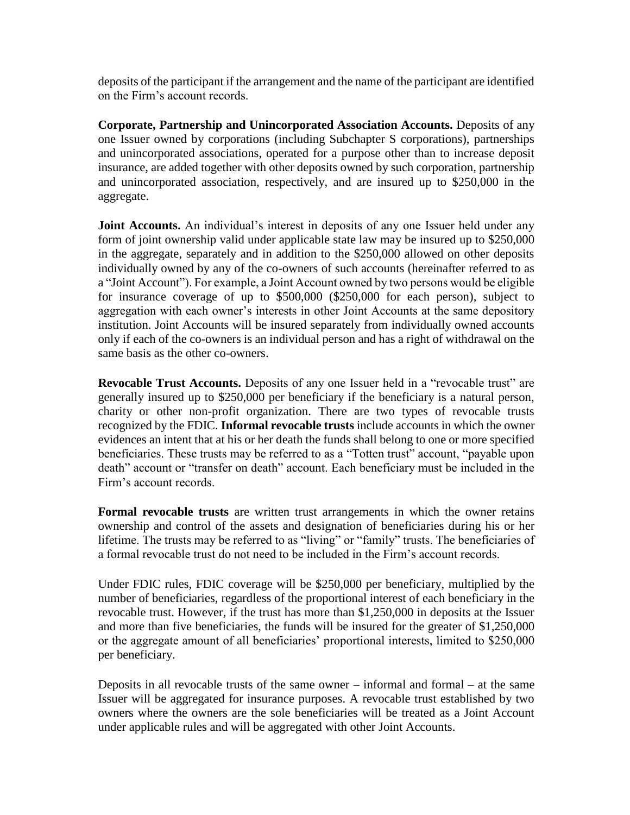deposits of the participant if the arrangement and the name of the participant are identified on the Firm's account records.

**Corporate, Partnership and Unincorporated Association Accounts.** Deposits of any one Issuer owned by corporations (including Subchapter S corporations), partnerships and unincorporated associations, operated for a purpose other than to increase deposit insurance, are added together with other deposits owned by such corporation, partnership and unincorporated association, respectively, and are insured up to \$250,000 in the aggregate.

**Joint Accounts.** An individual's interest in deposits of any one Issuer held under any form of joint ownership valid under applicable state law may be insured up to \$250,000 in the aggregate, separately and in addition to the \$250,000 allowed on other deposits individually owned by any of the co-owners of such accounts (hereinafter referred to as a "Joint Account"). For example, a Joint Account owned by two persons would be eligible for insurance coverage of up to \$500,000 (\$250,000 for each person), subject to aggregation with each owner's interests in other Joint Accounts at the same depository institution. Joint Accounts will be insured separately from individually owned accounts only if each of the co-owners is an individual person and has a right of withdrawal on the same basis as the other co-owners.

**Revocable Trust Accounts.** Deposits of any one Issuer held in a "revocable trust" are generally insured up to \$250,000 per beneficiary if the beneficiary is a natural person, charity or other non-profit organization. There are two types of revocable trusts recognized by the FDIC. **Informal revocable trusts** include accounts in which the owner evidences an intent that at his or her death the funds shall belong to one or more specified beneficiaries. These trusts may be referred to as a "Totten trust" account, "payable upon death" account or "transfer on death" account. Each beneficiary must be included in the Firm's account records.

**Formal revocable trusts** are written trust arrangements in which the owner retains ownership and control of the assets and designation of beneficiaries during his or her lifetime. The trusts may be referred to as "living" or "family" trusts. The beneficiaries of a formal revocable trust do not need to be included in the Firm's account records.

Under FDIC rules, FDIC coverage will be \$250,000 per beneficiary, multiplied by the number of beneficiaries, regardless of the proportional interest of each beneficiary in the revocable trust. However, if the trust has more than \$1,250,000 in deposits at the Issuer and more than five beneficiaries, the funds will be insured for the greater of \$1,250,000 or the aggregate amount of all beneficiaries' proportional interests, limited to \$250,000 per beneficiary.

Deposits in all revocable trusts of the same owner – informal and formal – at the same Issuer will be aggregated for insurance purposes. A revocable trust established by two owners where the owners are the sole beneficiaries will be treated as a Joint Account under applicable rules and will be aggregated with other Joint Accounts.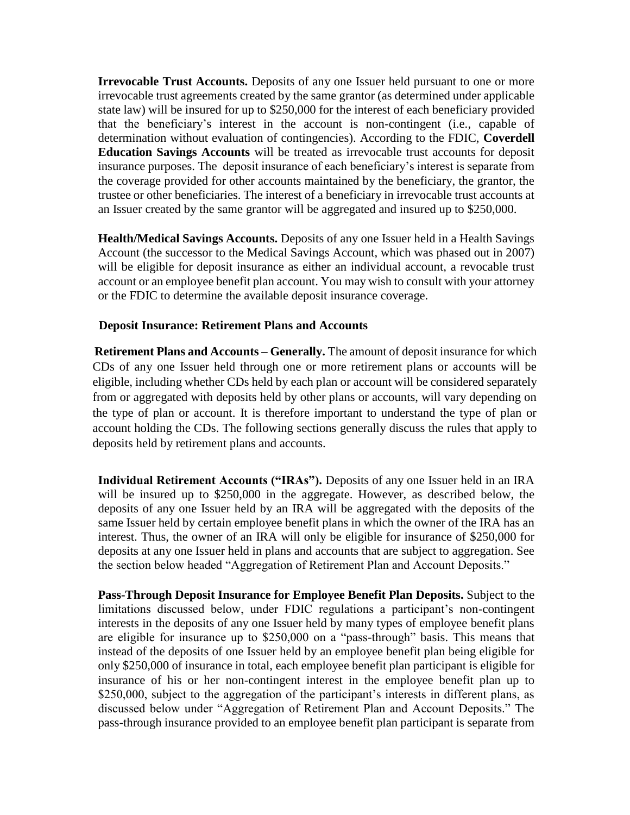**Irrevocable Trust Accounts.** Deposits of any one Issuer held pursuant to one or more irrevocable trust agreements created by the same grantor (as determined under applicable state law) will be insured for up to \$250,000 for the interest of each beneficiary provided that the beneficiary's interest in the account is non-contingent (i.e., capable of determination without evaluation of contingencies). According to the FDIC, **Coverdell Education Savings Accounts** will be treated as irrevocable trust accounts for deposit insurance purposes. The deposit insurance of each beneficiary's interest is separate from the coverage provided for other accounts maintained by the beneficiary, the grantor, the trustee or other beneficiaries. The interest of a beneficiary in irrevocable trust accounts at an Issuer created by the same grantor will be aggregated and insured up to \$250,000.

**Health/Medical Savings Accounts.** Deposits of any one Issuer held in a Health Savings Account (the successor to the Medical Savings Account, which was phased out in 2007) will be eligible for deposit insurance as either an individual account, a revocable trust account or an employee benefit plan account. You may wish to consult with your attorney or the FDIC to determine the available deposit insurance coverage.

### **Deposit Insurance: Retirement Plans and Accounts**

**Retirement Plans and Accounts – Generally.** The amount of deposit insurance for which CDs of any one Issuer held through one or more retirement plans or accounts will be eligible, including whether CDs held by each plan or account will be considered separately from or aggregated with deposits held by other plans or accounts, will vary depending on the type of plan or account. It is therefore important to understand the type of plan or account holding the CDs. The following sections generally discuss the rules that apply to deposits held by retirement plans and accounts.

**Individual Retirement Accounts ("IRAs").** Deposits of any one Issuer held in an IRA will be insured up to \$250,000 in the aggregate. However, as described below, the deposits of any one Issuer held by an IRA will be aggregated with the deposits of the same Issuer held by certain employee benefit plans in which the owner of the IRA has an interest. Thus, the owner of an IRA will only be eligible for insurance of \$250,000 for deposits at any one Issuer held in plans and accounts that are subject to aggregation. See the section below headed "Aggregation of Retirement Plan and Account Deposits."

**Pass-Through Deposit Insurance for Employee Benefit Plan Deposits.** Subject to the limitations discussed below, under FDIC regulations a participant's non-contingent interests in the deposits of any one Issuer held by many types of employee benefit plans are eligible for insurance up to \$250,000 on a "pass-through" basis. This means that instead of the deposits of one Issuer held by an employee benefit plan being eligible for only \$250,000 of insurance in total, each employee benefit plan participant is eligible for insurance of his or her non-contingent interest in the employee benefit plan up to \$250,000, subject to the aggregation of the participant's interests in different plans, as discussed below under "Aggregation of Retirement Plan and Account Deposits." The pass-through insurance provided to an employee benefit plan participant is separate from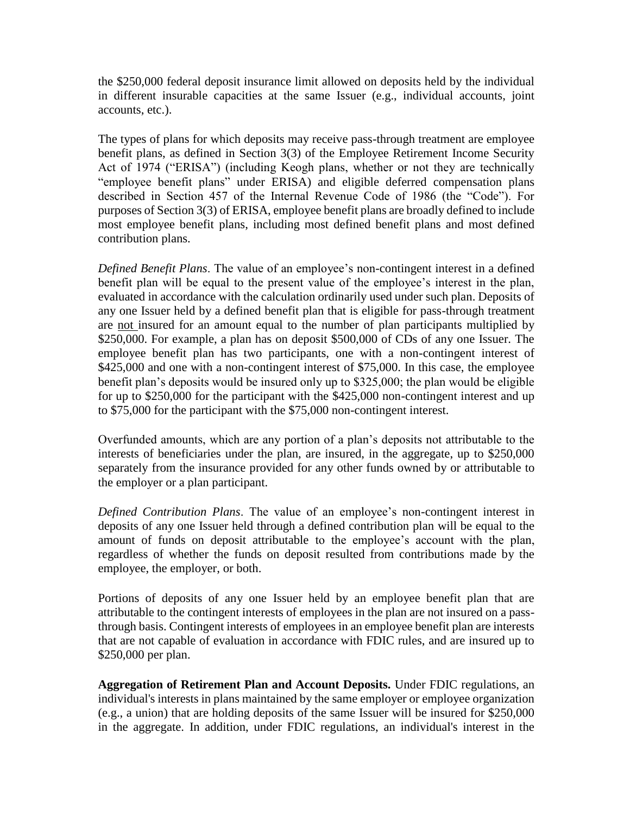the \$250,000 federal deposit insurance limit allowed on deposits held by the individual in different insurable capacities at the same Issuer (e.g., individual accounts, joint accounts, etc.).

The types of plans for which deposits may receive pass-through treatment are employee benefit plans, as defined in Section 3(3) of the Employee Retirement Income Security Act of 1974 ("ERISA") (including Keogh plans, whether or not they are technically "employee benefit plans" under ERISA) and eligible deferred compensation plans described in Section 457 of the Internal Revenue Code of 1986 (the "Code"). For purposes of Section 3(3) of ERISA, employee benefit plans are broadly defined to include most employee benefit plans, including most defined benefit plans and most defined contribution plans.

*Defined Benefit Plans*. The value of an employee's non-contingent interest in a defined benefit plan will be equal to the present value of the employee's interest in the plan, evaluated in accordance with the calculation ordinarily used under such plan. Deposits of any one Issuer held by a defined benefit plan that is eligible for pass-through treatment are not insured for an amount equal to the number of plan participants multiplied by \$250,000. For example, a plan has on deposit \$500,000 of CDs of any one Issuer. The employee benefit plan has two participants, one with a non-contingent interest of \$425,000 and one with a non-contingent interest of \$75,000. In this case, the employee benefit plan's deposits would be insured only up to \$325,000; the plan would be eligible for up to \$250,000 for the participant with the \$425,000 non-contingent interest and up to \$75,000 for the participant with the \$75,000 non-contingent interest.

Overfunded amounts, which are any portion of a plan's deposits not attributable to the interests of beneficiaries under the plan, are insured, in the aggregate, up to \$250,000 separately from the insurance provided for any other funds owned by or attributable to the employer or a plan participant.

*Defined Contribution Plans*. The value of an employee's non-contingent interest in deposits of any one Issuer held through a defined contribution plan will be equal to the amount of funds on deposit attributable to the employee's account with the plan, regardless of whether the funds on deposit resulted from contributions made by the employee, the employer, or both.

Portions of deposits of any one Issuer held by an employee benefit plan that are attributable to the contingent interests of employees in the plan are not insured on a passthrough basis. Contingent interests of employees in an employee benefit plan are interests that are not capable of evaluation in accordance with FDIC rules, and are insured up to \$250,000 per plan.

**Aggregation of Retirement Plan and Account Deposits.** Under FDIC regulations, an individual's interests in plans maintained by the same employer or employee organization (e.g., a union) that are holding deposits of the same Issuer will be insured for \$250,000 in the aggregate. In addition, under FDIC regulations, an individual's interest in the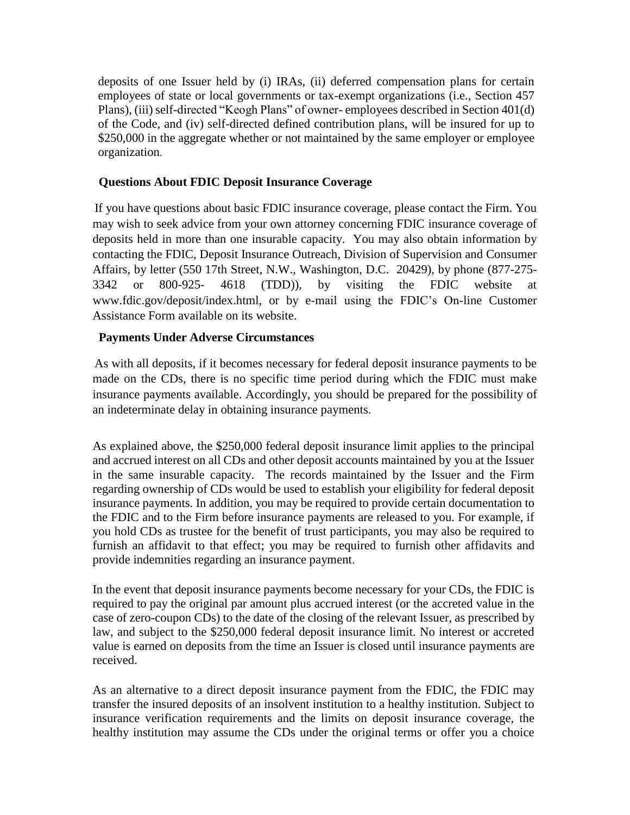deposits of one Issuer held by (i) IRAs, (ii) deferred compensation plans for certain employees of state or local governments or tax-exempt organizations (i.e., Section 457 Plans), (iii) self-directed "Keogh Plans" of owner- employees described in Section 401(d) of the Code, and (iv) self-directed defined contribution plans, will be insured for up to \$250,000 in the aggregate whether or not maintained by the same employer or employee organization.

## **Questions About FDIC Deposit Insurance Coverage**

If you have questions about basic FDIC insurance coverage, please contact the Firm. You may wish to seek advice from your own attorney concerning FDIC insurance coverage of deposits held in more than one insurable capacity. You may also obtain information by contacting the FDIC, Deposit Insurance Outreach, Division of Supervision and Consumer Affairs, by letter (550 17th Street, N.W., Washington, D.C. 20429), by phone (877-275- 3342 or 800-925- 4618 (TDD)), by visiting the FDIC website at www.fdic.gov/deposit/index.html, or by e-mail using the FDIC's On-line Customer Assistance Form available on its website.

## **Payments Under Adverse Circumstances**

As with all deposits, if it becomes necessary for federal deposit insurance payments to be made on the CDs, there is no specific time period during which the FDIC must make insurance payments available. Accordingly, you should be prepared for the possibility of an indeterminate delay in obtaining insurance payments.

As explained above, the \$250,000 federal deposit insurance limit applies to the principal and accrued interest on all CDs and other deposit accounts maintained by you at the Issuer in the same insurable capacity. The records maintained by the Issuer and the Firm regarding ownership of CDs would be used to establish your eligibility for federal deposit insurance payments. In addition, you may be required to provide certain documentation to the FDIC and to the Firm before insurance payments are released to you. For example, if you hold CDs as trustee for the benefit of trust participants, you may also be required to furnish an affidavit to that effect; you may be required to furnish other affidavits and provide indemnities regarding an insurance payment.

In the event that deposit insurance payments become necessary for your CDs, the FDIC is required to pay the original par amount plus accrued interest (or the accreted value in the case of zero-coupon CDs) to the date of the closing of the relevant Issuer, as prescribed by law, and subject to the \$250,000 federal deposit insurance limit. No interest or accreted value is earned on deposits from the time an Issuer is closed until insurance payments are received.

As an alternative to a direct deposit insurance payment from the FDIC, the FDIC may transfer the insured deposits of an insolvent institution to a healthy institution. Subject to insurance verification requirements and the limits on deposit insurance coverage, the healthy institution may assume the CDs under the original terms or offer you a choice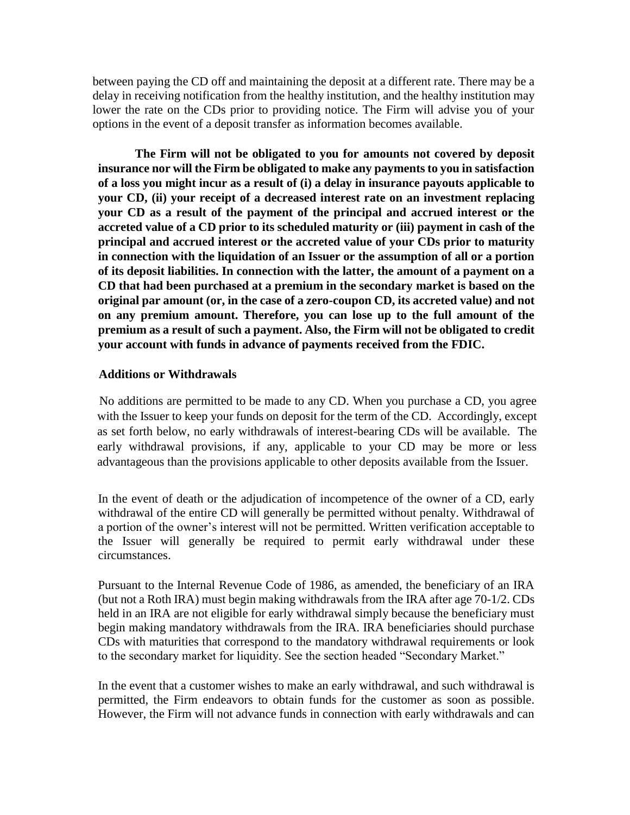between paying the CD off and maintaining the deposit at a different rate. There may be a delay in receiving notification from the healthy institution, and the healthy institution may lower the rate on the CDs prior to providing notice. The Firm will advise you of your options in the event of a deposit transfer as information becomes available.

**The Firm will not be obligated to you for amounts not covered by deposit insurance nor will the Firm be obligated to make any payments to you in satisfaction of a loss you might incur as a result of (i) a delay in insurance payouts applicable to your CD, (ii) your receipt of a decreased interest rate on an investment replacing your CD as a result of the payment of the principal and accrued interest or the accreted value of a CD prior to its scheduled maturity or (iii) payment in cash of the principal and accrued interest or the accreted value of your CDs prior to maturity in connection with the liquidation of an Issuer or the assumption of all or a portion of its deposit liabilities. In connection with the latter, the amount of a payment on a CD that had been purchased at a premium in the secondary market is based on the original par amount (or, in the case of a zero-coupon CD, its accreted value) and not on any premium amount. Therefore, you can lose up to the full amount of the premium as a result of such a payment. Also, the Firm will not be obligated to credit your account with funds in advance of payments received from the FDIC.**

#### **Additions or Withdrawals**

No additions are permitted to be made to any CD. When you purchase a CD, you agree with the Issuer to keep your funds on deposit for the term of the CD. Accordingly, except as set forth below, no early withdrawals of interest-bearing CDs will be available. The early withdrawal provisions, if any, applicable to your CD may be more or less advantageous than the provisions applicable to other deposits available from the Issuer.

In the event of death or the adjudication of incompetence of the owner of a CD, early withdrawal of the entire CD will generally be permitted without penalty. Withdrawal of a portion of the owner's interest will not be permitted. Written verification acceptable to the Issuer will generally be required to permit early withdrawal under these circumstances.

Pursuant to the Internal Revenue Code of 1986, as amended, the beneficiary of an IRA (but not a Roth IRA) must begin making withdrawals from the IRA after age 70-1/2. CDs held in an IRA are not eligible for early withdrawal simply because the beneficiary must begin making mandatory withdrawals from the IRA. IRA beneficiaries should purchase CDs with maturities that correspond to the mandatory withdrawal requirements or look to the secondary market for liquidity. See the section headed "Secondary Market."

In the event that a customer wishes to make an early withdrawal, and such withdrawal is permitted, the Firm endeavors to obtain funds for the customer as soon as possible. However, the Firm will not advance funds in connection with early withdrawals and can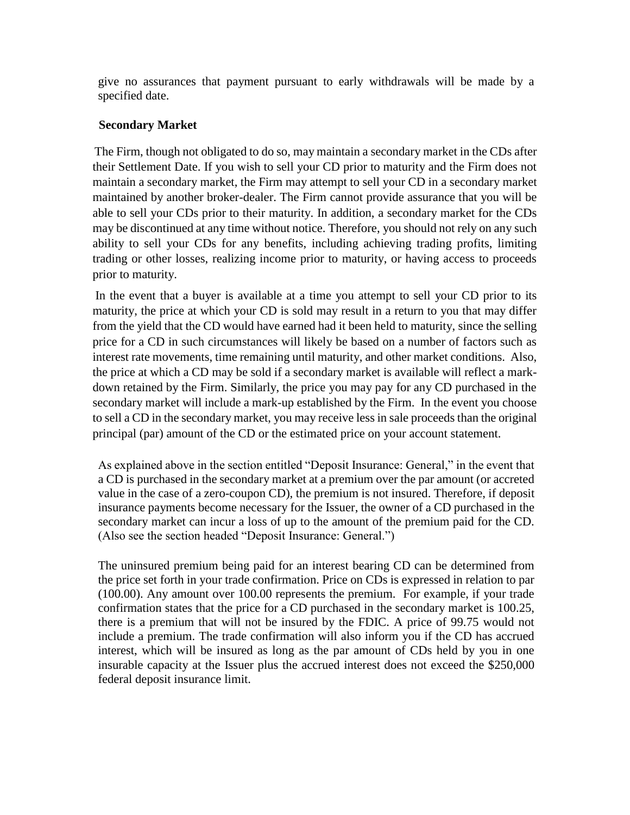give no assurances that payment pursuant to early withdrawals will be made by a specified date.

## **Secondary Market**

The Firm, though not obligated to do so, may maintain a secondary market in the CDs after their Settlement Date. If you wish to sell your CD prior to maturity and the Firm does not maintain a secondary market, the Firm may attempt to sell your CD in a secondary market maintained by another broker-dealer. The Firm cannot provide assurance that you will be able to sell your CDs prior to their maturity. In addition, a secondary market for the CDs may be discontinued at any time without notice. Therefore, you should not rely on any such ability to sell your CDs for any benefits, including achieving trading profits, limiting trading or other losses, realizing income prior to maturity, or having access to proceeds prior to maturity.

In the event that a buyer is available at a time you attempt to sell your CD prior to its maturity, the price at which your CD is sold may result in a return to you that may differ from the yield that the CD would have earned had it been held to maturity, since the selling price for a CD in such circumstances will likely be based on a number of factors such as interest rate movements, time remaining until maturity, and other market conditions. Also, the price at which a CD may be sold if a secondary market is available will reflect a markdown retained by the Firm. Similarly, the price you may pay for any CD purchased in the secondary market will include a mark-up established by the Firm. In the event you choose to sell a CD in the secondary market, you may receive less in sale proceeds than the original principal (par) amount of the CD or the estimated price on your account statement.

As explained above in the section entitled "Deposit Insurance: General," in the event that a CD is purchased in the secondary market at a premium over the par amount (or accreted value in the case of a zero-coupon CD), the premium is not insured. Therefore, if deposit insurance payments become necessary for the Issuer, the owner of a CD purchased in the secondary market can incur a loss of up to the amount of the premium paid for the CD. (Also see the section headed "Deposit Insurance: General.")

The uninsured premium being paid for an interest bearing CD can be determined from the price set forth in your trade confirmation. Price on CDs is expressed in relation to par (100.00). Any amount over 100.00 represents the premium. For example, if your trade confirmation states that the price for a CD purchased in the secondary market is 100.25, there is a premium that will not be insured by the FDIC. A price of 99.75 would not include a premium. The trade confirmation will also inform you if the CD has accrued interest, which will be insured as long as the par amount of CDs held by you in one insurable capacity at the Issuer plus the accrued interest does not exceed the \$250,000 federal deposit insurance limit.